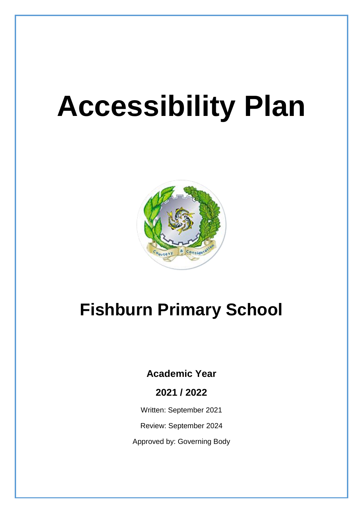# **Accessibility Plan**



# **Fishburn Primary School**

# **Academic Year**

**2021 / 2022**

Written: September 2021

Review: September 2024

Approved by: Governing Body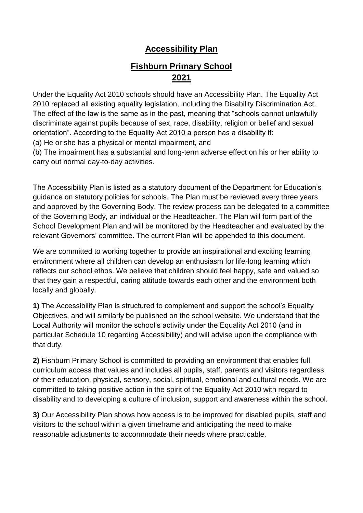# **Accessibility Plan**

# **Fishburn Primary School 2021**

Under the Equality Act 2010 schools should have an Accessibility Plan. The Equality Act 2010 replaced all existing equality legislation, including the Disability Discrimination Act. The effect of the law is the same as in the past, meaning that "schools cannot unlawfully discriminate against pupils because of sex, race, disability, religion or belief and sexual orientation". According to the Equality Act 2010 a person has a disability if:

(a) He or she has a physical or mental impairment, and

(b) The impairment has a substantial and long-term adverse effect on his or her ability to carry out normal day-to-day activities.

The Accessibility Plan is listed as a statutory document of the Department for Education's guidance on statutory policies for schools. The Plan must be reviewed every three years and approved by the Governing Body. The review process can be delegated to a committee of the Governing Body, an individual or the Headteacher. The Plan will form part of the School Development Plan and will be monitored by the Headteacher and evaluated by the relevant Governors' committee. The current Plan will be appended to this document.

We are committed to working together to provide an inspirational and exciting learning environment where all children can develop an enthusiasm for life-long learning which reflects our school ethos. We believe that children should feel happy, safe and valued so that they gain a respectful, caring attitude towards each other and the environment both locally and globally.

**1)** The Accessibility Plan is structured to complement and support the school's Equality Objectives, and will similarly be published on the school website. We understand that the Local Authority will monitor the school's activity under the Equality Act 2010 (and in particular Schedule 10 regarding Accessibility) and will advise upon the compliance with that duty.

**2)** Fishburn Primary School is committed to providing an environment that enables full curriculum access that values and includes all pupils, staff, parents and visitors regardless of their education, physical, sensory, social, spiritual, emotional and cultural needs. We are committed to taking positive action in the spirit of the Equality Act 2010 with regard to disability and to developing a culture of inclusion, support and awareness within the school.

**3)** Our Accessibility Plan shows how access is to be improved for disabled pupils, staff and visitors to the school within a given timeframe and anticipating the need to make reasonable adjustments to accommodate their needs where practicable.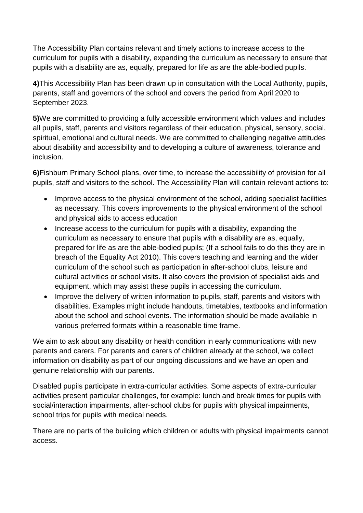The Accessibility Plan contains relevant and timely actions to increase access to the curriculum for pupils with a disability, expanding the curriculum as necessary to ensure that pupils with a disability are as, equally, prepared for life as are the able-bodied pupils.

**4)**This Accessibility Plan has been drawn up in consultation with the Local Authority, pupils, parents, staff and governors of the school and covers the period from April 2020 to September 2023.

**5)**We are committed to providing a fully accessible environment which values and includes all pupils, staff, parents and visitors regardless of their education, physical, sensory, social, spiritual, emotional and cultural needs. We are committed to challenging negative attitudes about disability and accessibility and to developing a culture of awareness, tolerance and inclusion.

**6)**Fishburn Primary School plans, over time, to increase the accessibility of provision for all pupils, staff and visitors to the school. The Accessibility Plan will contain relevant actions to:

- Improve access to the physical environment of the school, adding specialist facilities as necessary. This covers improvements to the physical environment of the school and physical aids to access education
- Increase access to the curriculum for pupils with a disability, expanding the curriculum as necessary to ensure that pupils with a disability are as, equally, prepared for life as are the able-bodied pupils; (If a school fails to do this they are in breach of the Equality Act 2010). This covers teaching and learning and the wider curriculum of the school such as participation in after-school clubs, leisure and cultural activities or school visits. It also covers the provision of specialist aids and equipment, which may assist these pupils in accessing the curriculum.
- Improve the delivery of written information to pupils, staff, parents and visitors with disabilities. Examples might include handouts, timetables, textbooks and information about the school and school events. The information should be made available in various preferred formats within a reasonable time frame.

We aim to ask about any disability or health condition in early communications with new parents and carers. For parents and carers of children already at the school, we collect information on disability as part of our ongoing discussions and we have an open and genuine relationship with our parents.

Disabled pupils participate in extra-curricular activities. Some aspects of extra-curricular activities present particular challenges, for example: lunch and break times for pupils with social/interaction impairments, after-school clubs for pupils with physical impairments, school trips for pupils with medical needs.

There are no parts of the building which children or adults with physical impairments cannot access.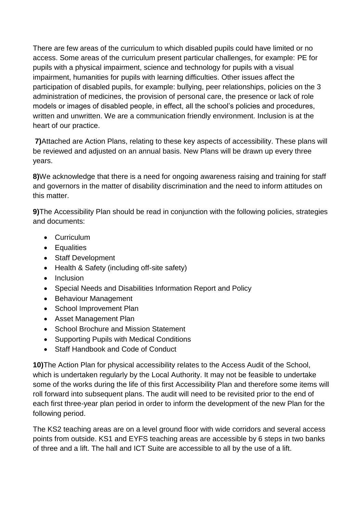There are few areas of the curriculum to which disabled pupils could have limited or no access. Some areas of the curriculum present particular challenges, for example: PE for pupils with a physical impairment, science and technology for pupils with a visual impairment, humanities for pupils with learning difficulties. Other issues affect the participation of disabled pupils, for example: bullying, peer relationships, policies on the 3 administration of medicines, the provision of personal care, the presence or lack of role models or images of disabled people, in effect, all the school's policies and procedures, written and unwritten. We are a communication friendly environment. Inclusion is at the heart of our practice.

**7)**Attached are Action Plans, relating to these key aspects of accessibility. These plans will be reviewed and adjusted on an annual basis. New Plans will be drawn up every three years.

**8)**We acknowledge that there is a need for ongoing awareness raising and training for staff and governors in the matter of disability discrimination and the need to inform attitudes on this matter.

**9)**The Accessibility Plan should be read in conjunction with the following policies, strategies and documents:

- Curriculum
- Equalities
- Staff Development
- Health & Safety (including off-site safety)
- Inclusion
- Special Needs and Disabilities Information Report and Policy
- Behaviour Management
- School Improvement Plan
- Asset Management Plan
- School Brochure and Mission Statement
- Supporting Pupils with Medical Conditions
- Staff Handbook and Code of Conduct

**10)**The Action Plan for physical accessibility relates to the Access Audit of the School, which is undertaken regularly by the Local Authority. It may not be feasible to undertake some of the works during the life of this first Accessibility Plan and therefore some items will roll forward into subsequent plans. The audit will need to be revisited prior to the end of each first three-year plan period in order to inform the development of the new Plan for the following period.

The KS2 teaching areas are on a level ground floor with wide corridors and several access points from outside. KS1 and EYFS teaching areas are accessible by 6 steps in two banks of three and a lift. The hall and ICT Suite are accessible to all by the use of a lift.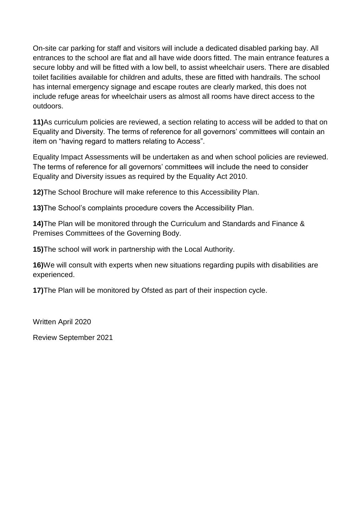On-site car parking for staff and visitors will include a dedicated disabled parking bay. All entrances to the school are flat and all have wide doors fitted. The main entrance features a secure lobby and will be fitted with a low bell, to assist wheelchair users. There are disabled toilet facilities available for children and adults, these are fitted with handrails. The school has internal emergency signage and escape routes are clearly marked, this does not include refuge areas for wheelchair users as almost all rooms have direct access to the outdoors.

**11)**As curriculum policies are reviewed, a section relating to access will be added to that on Equality and Diversity. The terms of reference for all governors' committees will contain an item on "having regard to matters relating to Access".

Equality Impact Assessments will be undertaken as and when school policies are reviewed. The terms of reference for all governors' committees will include the need to consider Equality and Diversity issues as required by the Equality Act 2010.

**12)**The School Brochure will make reference to this Accessibility Plan.

**13)**The School's complaints procedure covers the Accessibility Plan.

**14)**The Plan will be monitored through the Curriculum and Standards and Finance & Premises Committees of the Governing Body.

**15)**The school will work in partnership with the Local Authority.

**16)**We will consult with experts when new situations regarding pupils with disabilities are experienced.

**17)**The Plan will be monitored by Ofsted as part of their inspection cycle.

Written April 2020

Review September 2021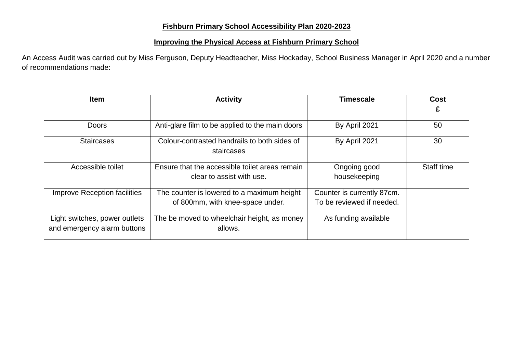#### **Fishburn Primary School Accessibility Plan 2020-2023**

#### **Improving the Physical Access at Fishburn Primary School**

An Access Audit was carried out by Miss Ferguson, Deputy Headteacher, Miss Hockaday, School Business Manager in April 2020 and a number of recommendations made:

| <b>Item</b>                                                  | <b>Activity</b>                                                             | Timescale                    | Cost       |
|--------------------------------------------------------------|-----------------------------------------------------------------------------|------------------------------|------------|
|                                                              |                                                                             |                              |            |
| <b>Doors</b>                                                 | Anti-glare film to be applied to the main doors                             | By April 2021                | 50         |
| <b>Staircases</b>                                            | Colour-contrasted handrails to both sides of<br>staircases                  | By April 2021                | 30         |
| Accessible toilet                                            | Ensure that the accessible toilet areas remain<br>clear to assist with use. | Ongoing good<br>housekeeping | Staff time |
| <b>Improve Reception facilities</b>                          | The counter is lowered to a maximum height                                  | Counter is currently 87cm.   |            |
|                                                              | of 800mm, with knee-space under.                                            | To be reviewed if needed.    |            |
| Light switches, power outlets<br>and emergency alarm buttons | The be moved to wheelchair height, as money<br>allows.                      | As funding available         |            |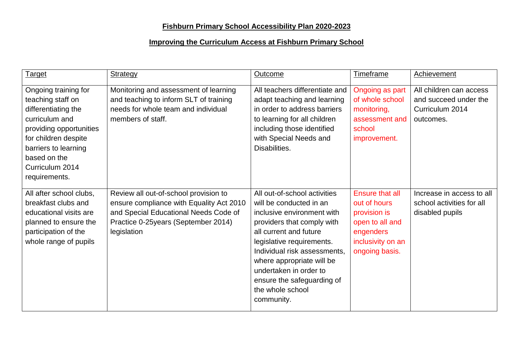# **Fishburn Primary School Accessibility Plan 2020-2023**

### **Improving the Curriculum Access at Fishburn Primary School**

| Target                                                                                                                                                                                                            | <b>Strategy</b>                                                                                                                                                                   | Outcome                                                                                                                                                                                                                                                                                                                           | Timeframe                                                                                                              | Achievement                                                                      |
|-------------------------------------------------------------------------------------------------------------------------------------------------------------------------------------------------------------------|-----------------------------------------------------------------------------------------------------------------------------------------------------------------------------------|-----------------------------------------------------------------------------------------------------------------------------------------------------------------------------------------------------------------------------------------------------------------------------------------------------------------------------------|------------------------------------------------------------------------------------------------------------------------|----------------------------------------------------------------------------------|
| Ongoing training for<br>teaching staff on<br>differentiating the<br>curriculum and<br>providing opportunities<br>for children despite<br>barriers to learning<br>based on the<br>Curriculum 2014<br>requirements. | Monitoring and assessment of learning<br>and teaching to inform SLT of training<br>needs for whole team and individual<br>members of staff.                                       | All teachers differentiate and<br>adapt teaching and learning<br>in order to address barriers<br>to learning for all children<br>including those identified<br>with Special Needs and<br>Disabilities.                                                                                                                            | Ongoing as part<br>of whole school<br>monitoring,<br>assessment and<br>school<br>improvement.                          | All children can access<br>and succeed under the<br>Curriculum 2014<br>outcomes. |
| All after school clubs,<br>breakfast clubs and<br>educational visits are<br>planned to ensure the<br>participation of the<br>whole range of pupils                                                                | Review all out-of-school provision to<br>ensure compliance with Equality Act 2010<br>and Special Educational Needs Code of<br>Practice 0-25 years (September 2014)<br>legislation | All out-of-school activities<br>will be conducted in an<br>inclusive environment with<br>providers that comply with<br>all current and future<br>legislative requirements.<br>Individual risk assessments,<br>where appropriate will be<br>undertaken in order to<br>ensure the safeguarding of<br>the whole school<br>community. | Ensure that all<br>out of hours<br>provision is<br>open to all and<br>engenders<br>inclusivity on an<br>ongoing basis. | Increase in access to all<br>school activities for all<br>disabled pupils        |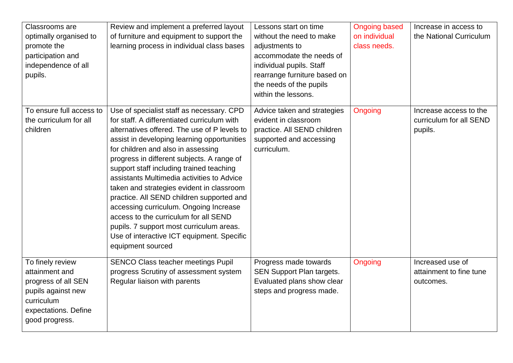| Classrooms are           | Review and implement a preferred layout      | Lessons start on time            | <b>Ongoing based</b> | Increase in access to   |
|--------------------------|----------------------------------------------|----------------------------------|----------------------|-------------------------|
| optimally organised to   | of furniture and equipment to support the    | without the need to make         | on individual        | the National Curriculum |
| promote the              | learning process in individual class bases   | adjustments to                   | class needs.         |                         |
| participation and        |                                              | accommodate the needs of         |                      |                         |
| independence of all      |                                              | individual pupils. Staff         |                      |                         |
| pupils.                  |                                              | rearrange furniture based on     |                      |                         |
|                          |                                              | the needs of the pupils          |                      |                         |
|                          |                                              | within the lessons.              |                      |                         |
| To ensure full access to | Use of specialist staff as necessary. CPD    | Advice taken and strategies      | Ongoing              | Increase access to the  |
| the curriculum for all   | for staff. A differentiated curriculum with  | evident in classroom             |                      | curriculum for all SEND |
| children                 | alternatives offered. The use of P levels to | practice. All SEND children      |                      | pupils.                 |
|                          | assist in developing learning opportunities  | supported and accessing          |                      |                         |
|                          | for children and also in assessing           | curriculum.                      |                      |                         |
|                          | progress in different subjects. A range of   |                                  |                      |                         |
|                          | support staff including trained teaching     |                                  |                      |                         |
|                          | assistants Multimedia activities to Advice   |                                  |                      |                         |
|                          | taken and strategies evident in classroom    |                                  |                      |                         |
|                          | practice. All SEND children supported and    |                                  |                      |                         |
|                          | accessing curriculum. Ongoing Increase       |                                  |                      |                         |
|                          | access to the curriculum for all SEND        |                                  |                      |                         |
|                          | pupils. 7 support most curriculum areas.     |                                  |                      |                         |
|                          | Use of interactive ICT equipment. Specific   |                                  |                      |                         |
|                          | equipment sourced                            |                                  |                      |                         |
| To finely review         | <b>SENCO Class teacher meetings Pupil</b>    | Progress made towards            | Ongoing              | Increased use of        |
| attainment and           | progress Scrutiny of assessment system       | <b>SEN Support Plan targets.</b> |                      | attainment to fine tune |
| progress of all SEN      | Regular liaison with parents                 | Evaluated plans show clear       |                      | outcomes.               |
| pupils against new       |                                              | steps and progress made.         |                      |                         |
| curriculum               |                                              |                                  |                      |                         |
| expectations. Define     |                                              |                                  |                      |                         |
| good progress.           |                                              |                                  |                      |                         |
|                          |                                              |                                  |                      |                         |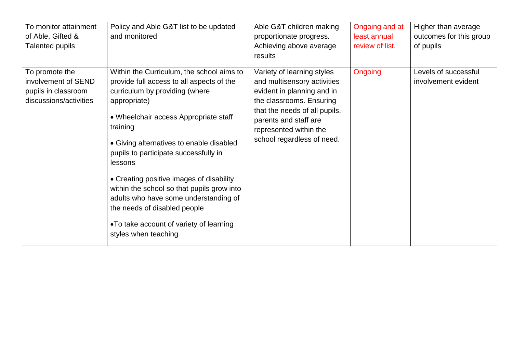| To monitor attainment<br>of Able, Gifted &<br>Talented pupils                          | Policy and Able G&T list to be updated<br>and monitored                                                                                                                                                                                                                                                                                                                                                                                                                                                                             | Able G&T children making<br>proportionate progress.<br>Achieving above average<br>results                                                                                                                                             | Ongoing and at<br>least annual<br>review of list. | Higher than average<br>outcomes for this group<br>of pupils |
|----------------------------------------------------------------------------------------|-------------------------------------------------------------------------------------------------------------------------------------------------------------------------------------------------------------------------------------------------------------------------------------------------------------------------------------------------------------------------------------------------------------------------------------------------------------------------------------------------------------------------------------|---------------------------------------------------------------------------------------------------------------------------------------------------------------------------------------------------------------------------------------|---------------------------------------------------|-------------------------------------------------------------|
| To promote the<br>involvement of SEND<br>pupils in classroom<br>discussions/activities | Within the Curriculum, the school aims to<br>provide full access to all aspects of the<br>curriculum by providing (where<br>appropriate)<br>• Wheelchair access Appropriate staff<br>training<br>• Giving alternatives to enable disabled<br>pupils to participate successfully in<br>lessons<br>• Creating positive images of disability<br>within the school so that pupils grow into<br>adults who have some understanding of<br>the needs of disabled people<br>•To take account of variety of learning<br>styles when teaching | Variety of learning styles<br>and multisensory activities<br>evident in planning and in<br>the classrooms. Ensuring<br>that the needs of all pupils,<br>parents and staff are<br>represented within the<br>school regardless of need. | Ongoing                                           | Levels of successful<br>involvement evident                 |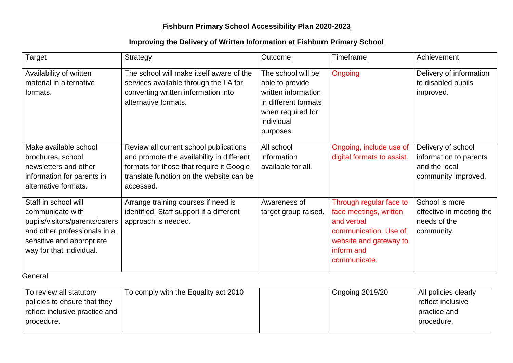# **Fishburn Primary School Accessibility Plan 2020-2023**

#### **Improving the Delivery of Written Information at Fishburn Primary School**

| <b>Target</b>                                                                                                                                                       | <b>Strategy</b>                                                                                                                                                                          | <b>Outcome</b>                                                                                                                       | Timeframe                                                                                                                                        | Achievement                                                                          |
|---------------------------------------------------------------------------------------------------------------------------------------------------------------------|------------------------------------------------------------------------------------------------------------------------------------------------------------------------------------------|--------------------------------------------------------------------------------------------------------------------------------------|--------------------------------------------------------------------------------------------------------------------------------------------------|--------------------------------------------------------------------------------------|
| Availability of written<br>material in alternative<br>formats.                                                                                                      | The school will make itself aware of the<br>services available through the LA for<br>converting written information into<br>alternative formats.                                         | The school will be<br>able to provide<br>written information<br>in different formats<br>when required for<br>individual<br>purposes. | Ongoing                                                                                                                                          | Delivery of information<br>to disabled pupils<br>improved.                           |
| Make available school<br>brochures, school<br>newsletters and other<br>information for parents in<br>alternative formats.                                           | Review all current school publications<br>and promote the availability in different<br>formats for those that require it Google<br>translate function on the website can be<br>accessed. | All school<br>information<br>available for all.                                                                                      | Ongoing, include use of<br>digital formats to assist.                                                                                            | Delivery of school<br>information to parents<br>and the local<br>community improved. |
| Staff in school will<br>communicate with<br>pupils/visitors/parents/carers<br>and other professionals in a<br>sensitive and appropriate<br>way for that individual. | Arrange training courses if need is<br>identified. Staff support if a different<br>approach is needed.                                                                                   | Awareness of<br>target group raised.                                                                                                 | Through regular face to<br>face meetings, written<br>and verbal<br>communication. Use of<br>website and gateway to<br>inform and<br>communicate. | School is more<br>effective in meeting the<br>needs of the<br>community.             |

General

| To review all statutory        | To comply with the Equality act 2010 | Ongoing $2019/20$ | All policies clearly |
|--------------------------------|--------------------------------------|-------------------|----------------------|
| policies to ensure that they   |                                      |                   | reflect inclusive    |
| reflect inclusive practice and |                                      |                   | practice and         |
| procedure.                     |                                      |                   | procedure.           |
|                                |                                      |                   |                      |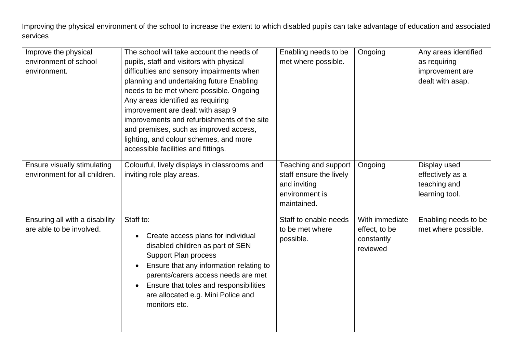Improving the physical environment of the school to increase the extent to which disabled pupils can take advantage of education and associated services

| Improve the physical                                         | The school will take account the needs of            | Enabling needs to be                            | Ongoing        | Any areas identified             |
|--------------------------------------------------------------|------------------------------------------------------|-------------------------------------------------|----------------|----------------------------------|
| environment of school                                        | pupils, staff and visitors with physical             | met where possible.                             |                | as requiring                     |
| environment.                                                 | difficulties and sensory impairments when            |                                                 |                | improvement are                  |
|                                                              | planning and undertaking future Enabling             |                                                 |                | dealt with asap.                 |
|                                                              | needs to be met where possible. Ongoing              |                                                 |                |                                  |
|                                                              | Any areas identified as requiring                    |                                                 |                |                                  |
|                                                              | improvement are dealt with asap 9                    |                                                 |                |                                  |
|                                                              | improvements and refurbishments of the site          |                                                 |                |                                  |
|                                                              | and premises, such as improved access,               |                                                 |                |                                  |
|                                                              | lighting, and colour schemes, and more               |                                                 |                |                                  |
|                                                              | accessible facilities and fittings.                  |                                                 |                |                                  |
|                                                              |                                                      |                                                 |                |                                  |
| Ensure visually stimulating<br>environment for all children. | Colourful, lively displays in classrooms and         | Teaching and support<br>staff ensure the lively | Ongoing        | Display used                     |
|                                                              | inviting role play areas.                            | and inviting                                    |                | effectively as a<br>teaching and |
|                                                              |                                                      | environment is                                  |                |                                  |
|                                                              |                                                      | maintained.                                     |                | learning tool.                   |
|                                                              |                                                      |                                                 |                |                                  |
| Ensuring all with a disability                               | Staff to:                                            | Staff to enable needs                           | With immediate | Enabling needs to be             |
| are able to be involved.                                     |                                                      | to be met where                                 | effect, to be  | met where possible.              |
|                                                              | Create access plans for individual<br>٠              | possible.                                       | constantly     |                                  |
|                                                              | disabled children as part of SEN                     |                                                 | reviewed       |                                  |
|                                                              | <b>Support Plan process</b>                          |                                                 |                |                                  |
|                                                              | Ensure that any information relating to<br>$\bullet$ |                                                 |                |                                  |
|                                                              | parents/carers access needs are met                  |                                                 |                |                                  |
|                                                              | Ensure that toles and responsibilities               |                                                 |                |                                  |
|                                                              | are allocated e.g. Mini Police and                   |                                                 |                |                                  |
|                                                              | monitors etc.                                        |                                                 |                |                                  |
|                                                              |                                                      |                                                 |                |                                  |
|                                                              |                                                      |                                                 |                |                                  |